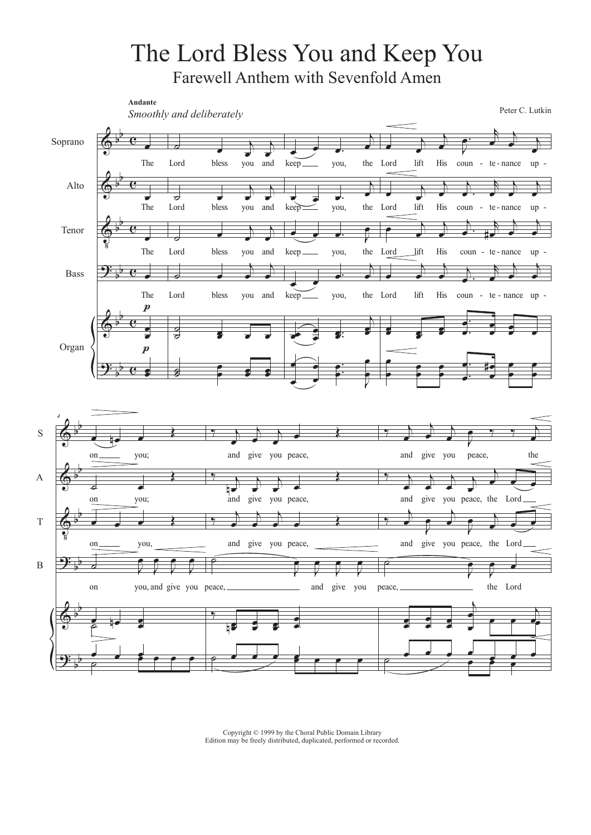## The Lord Bless You and Keep You Farewell Anthem with Sevenfold Amen



Copyright © 1999 by the Choral Public Domain Library Edition may be freely distributed, duplicated, performed or recorded.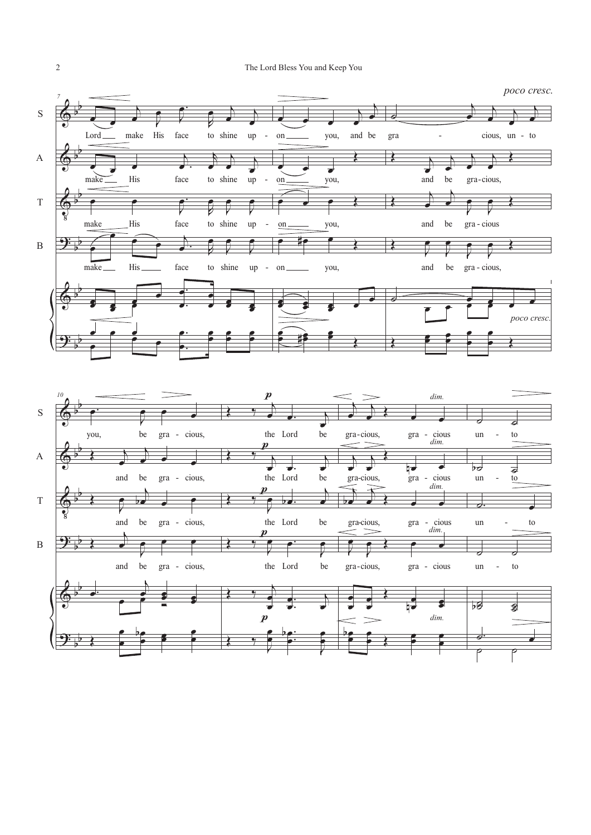

## 2 The Lord Bless You and Keep You